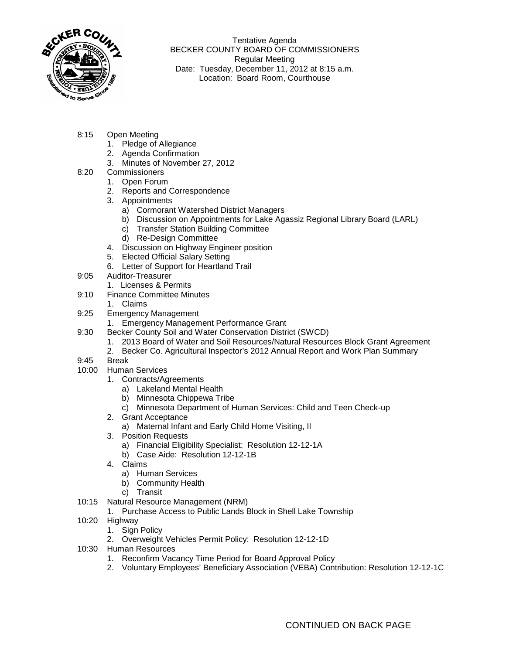

Tentative Agenda BECKER COUNTY BOARD OF COMMISSIONERS Regular Meeting Date: Tuesday, December 11, 2012 at 8:15 a.m. Location: Board Room, Courthouse

- 8:15 Open Meeting
	- 1. Pledge of Allegiance
	- 2. Agenda Confirmation
	- 3. Minutes of November 27, 2012
- 8:20 Commissioners
	- 1. Open Forum
	- 2. Reports and Correspondence
	- 3. Appointments
		- a) Cormorant Watershed District Managers
		- b) Discussion on Appointments for Lake Agassiz Regional Library Board (LARL)
		- c) Transfer Station Building Committee
		- d) Re-Design Committee
	- 4. Discussion on Highway Engineer position
	- 5. Elected Official Salary Setting
	- 6. Letter of Support for Heartland Trail
- 9:05 Auditor-Treasurer
	- 1. Licenses & Permits
- 9:10 Finance Committee Minutes
	- 1. Claims
- 9:25 Emergency Management
	- 1. Emergency Management Performance Grant
- 9:30 Becker County Soil and Water Conservation District (SWCD)
	- 1. 2013 Board of Water and Soil Resources/Natural Resources Block Grant Agreement
	- 2. Becker Co. Agricultural Inspector's 2012 Annual Report and Work Plan Summary
- 9:45 Break
- 10:00 Human Services
	- 1. Contracts/Agreements
		- a) Lakeland Mental Health
		- b) Minnesota Chippewa Tribe
		- c) Minnesota Department of Human Services: Child and Teen Check-up
	- 2. Grant Acceptance
		- a) Maternal Infant and Early Child Home Visiting, II
	- 3. Position Requests
		- a) Financial Eligibility Specialist: Resolution 12-12-1A
		- b) Case Aide: Resolution 12-12-1B
	- 4. Claims
		- a) Human Services
		- b) Community Health
		- c) Transit
- 10:15 Natural Resource Management (NRM)
	- 1. Purchase Access to Public Lands Block in Shell Lake Township
- 10:20 Highway
	- 1. Sign Policy
	- 2. Overweight Vehicles Permit Policy: Resolution 12-12-1D
- 10:30 Human Resources
	- 1. Reconfirm Vacancy Time Period for Board Approval Policy
	- 2. Voluntary Employees' Beneficiary Association (VEBA) Contribution: Resolution 12-12-1C